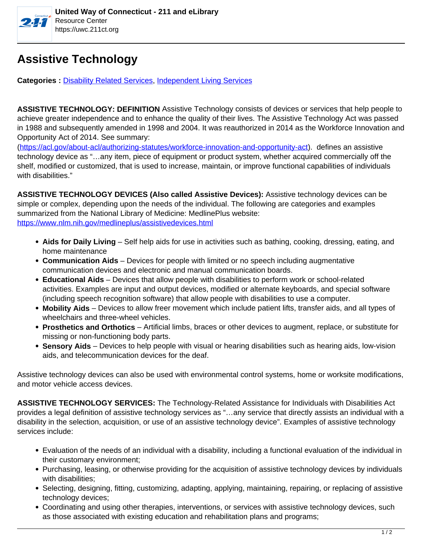

## **Assistive Technology**

**Categories : [Disability Related Services,](https://uwc.211ct.org/category/disability-related-services/) Independent Living Services** 

**ASSISTIVE TECHNOLOGY: DEFINITION** Assistive Technology consists of devices or services that help people to achieve greater independence and to enhance the quality of their lives. The Assistive Technology Act was passed in 1988 and subsequently amended in 1998 and 2004. It was reauthorized in 2014 as the Workforce Innovation and Opportunity Act of 2014. See summary:

(https://acl.gov/about-acl/authorizing-statutes/workforce-innovation-and-opportunity-act). defines an assistive technology device as "…any item, piece of equipment or product system, whether acquired commercially off the shelf, modified or customized, that is used to increase, maintain, or improve functional capabilities of individuals with disabilities."

**ASSISTIVE TECHNOLOGY DEVICES (Also called Assistive Devices):** Assistive technology devices can be simple or complex, depending upon the needs of the individual. The following are categories and examples summarized from the National Library of Medicine: MedlinePlus website: https://www.nlm.nih.gov/medlineplus/assistivedevices.html

- **Aids for Daily Living**  Self help aids for use in activities such as bathing, cooking, dressing, eating, and home maintenance
- **Communication Aids**  Devices for people with limited or no speech including augmentative communication devices and electronic and manual communication boards.
- **Educational Aids** Devices that allow people with disabilities to perform work or school-related activities. Examples are input and output devices, modified or alternate keyboards, and special software (including speech recognition software) that allow people with disabilities to use a computer.
- **Mobility Aids**  Devices to allow freer movement which include patient lifts, transfer aids, and all types of wheelchairs and three-wheel vehicles.
- **Prosthetics and Orthotics** Artificial limbs, braces or other devices to augment, replace, or substitute for missing or non-functioning body parts.
- **Sensory Aids** Devices to help people with visual or hearing disabilities such as hearing aids, low-vision aids, and telecommunication devices for the deaf.

Assistive technology devices can also be used with environmental control systems, home or worksite modifications, and motor vehicle access devices.

**ASSISTIVE TECHNOLOGY SERVICES:** The Technology-Related Assistance for Individuals with Disabilities Act provides a legal definition of assistive technology services as "…any service that directly assists an individual with a disability in the selection, acquisition, or use of an assistive technology device". Examples of assistive technology services include:

- Evaluation of the needs of an individual with a disability, including a functional evaluation of the individual in their customary environment;
- Purchasing, leasing, or otherwise providing for the acquisition of assistive technology devices by individuals with disabilities:
- Selecting, designing, fitting, customizing, adapting, applying, maintaining, repairing, or replacing of assistive technology devices;
- Coordinating and using other therapies, interventions, or services with assistive technology devices, such as those associated with existing education and rehabilitation plans and programs;